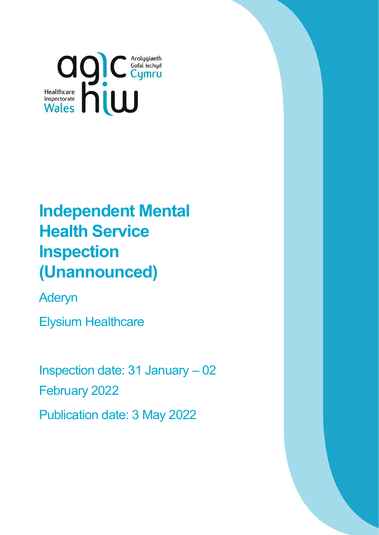

# **Independent Mental Health Service Inspection (Unannounced)**

Aderyn

Elysium Healthcare

Inspection date: 31 January – 02 February 2022 Publication date: 3 May 2022

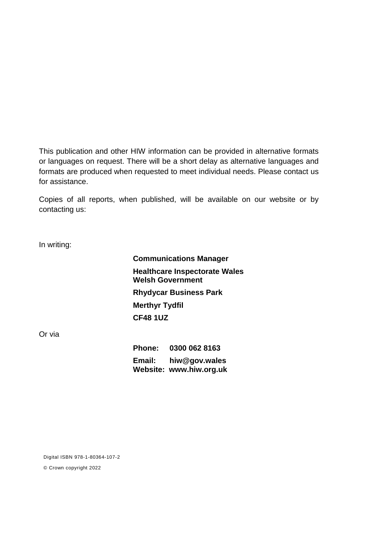This publication and other HIW information can be provided in alternative formats or languages on request. There will be a short delay as alternative languages and formats are produced when requested to meet individual needs. Please contact us for assistance.

Copies of all reports, when published, will be available on our website or by contacting us:

In writing:

**Communications Manager Healthcare Inspectorate Wales Welsh Government Rhydycar Business Park Merthyr Tydfil CF48 1UZ**

Or via

**Phone: 0300 062 8163 Email: [hiw@gov.wales](mailto:hiw@gov.wales) Website: [www.hiw.org.uk](http://www.hiw.org.uk/)**

Digital ISBN 978-1-80364-107-2

© Crown copyright 2022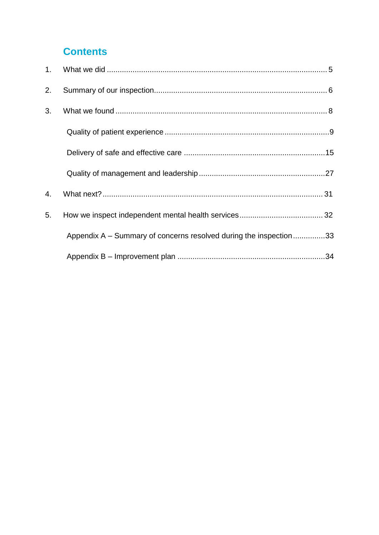### **Contents**

| 2. |                                                                   |  |
|----|-------------------------------------------------------------------|--|
| 3. |                                                                   |  |
|    |                                                                   |  |
|    |                                                                   |  |
|    |                                                                   |  |
| 4. |                                                                   |  |
| 5. |                                                                   |  |
|    | Appendix A – Summary of concerns resolved during the inspection33 |  |
|    |                                                                   |  |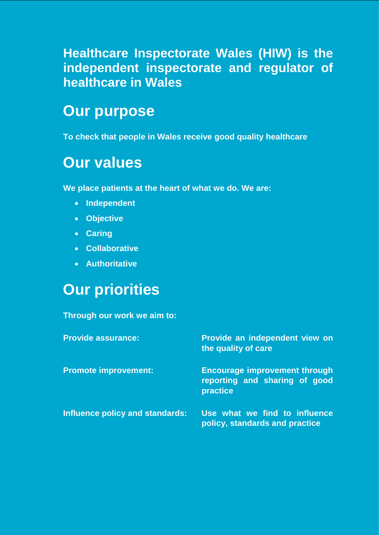## **Healthcare Inspectorate Wales (HIW) is the independent inspectorate and regulator of healthcare in Wales**

## **Our purpose**

**To check that people in Wales receive good quality healthcare**

## **Our values**

**We place patients at the heart of what we do. We are:**

- **Independent**
- **Objective**
- **Caring**
- **Collaborative**
- **Authoritative**

## **Our priorities**

#### **Through our work we aim to:**

| <b>Provide assurance:</b>       | Provide an independent view on<br>the quality of care                             |
|---------------------------------|-----------------------------------------------------------------------------------|
| <b>Promote improvement:</b>     | <b>Encourage improvement through</b><br>reporting and sharing of good<br>practice |
| Influence policy and standards: | Use what we find to influence<br>policy, standards and practice                   |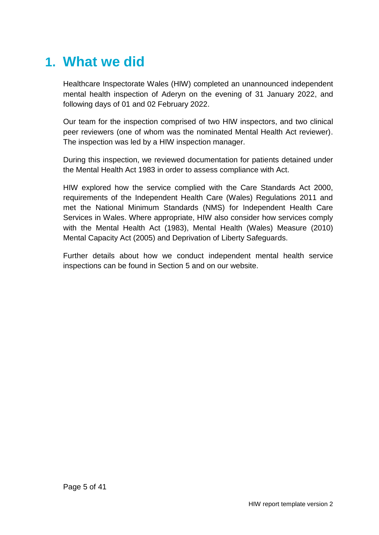## <span id="page-4-0"></span>**1. What we did**

Healthcare Inspectorate Wales (HIW) completed an unannounced independent mental health inspection of Aderyn on the evening of 31 January 2022, and following days of 01 and 02 February 2022.

Our team for the inspection comprised of two HIW inspectors, and two clinical peer reviewers (one of whom was the nominated Mental Health Act reviewer). The inspection was led by a HIW inspection manager.

During this inspection, we reviewed documentation for patients detained under the Mental Health Act 1983 in order to assess compliance with Act.

HIW explored how the service complied with the Care Standards Act 2000, requirements of the Independent Health Care (Wales) Regulations 2011 and met the National Minimum Standards (NMS) for Independent Health Care Services in Wales. Where appropriate, HIW also consider how services comply with the Mental Health Act (1983), Mental Health (Wales) Measure (2010) Mental Capacity Act (2005) and Deprivation of Liberty Safeguards.

Further details about how we conduct independent mental health service inspections can be found in Section 5 and on our website.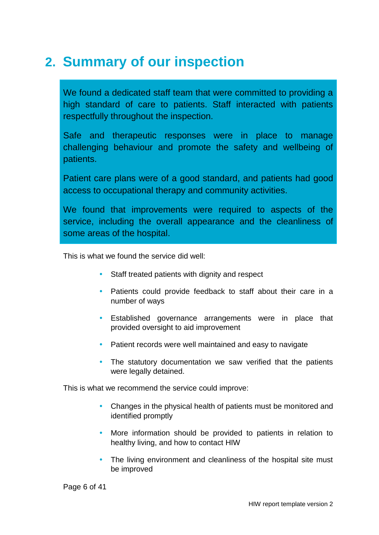## <span id="page-5-0"></span>**2. Summary of our inspection**

We found a dedicated staff team that were committed to providing a high standard of care to patients. Staff interacted with patients respectfully throughout the inspection.

Safe and therapeutic responses were in place to manage challenging behaviour and promote the safety and wellbeing of patients.

Patient care plans were of a good standard, and patients had good access to occupational therapy and community activities.

We found that improvements were required to aspects of the service, including the overall appearance and the cleanliness of some areas of the hospital.

This is what we found the service did well:

- Staff treated patients with dignity and respect
- Patients could provide feedback to staff about their care in a number of ways
- Established governance arrangements were in place that provided oversight to aid improvement
- Patient records were well maintained and easy to navigate
- The statutory documentation we saw verified that the patients were legally detained.

This is what we recommend the service could improve:

- Changes in the physical health of patients must be monitored and identified promptly
- More information should be provided to patients in relation to healthy living, and how to contact HIW
- The living environment and cleanliness of the hospital site must be improved

Page 6 of 41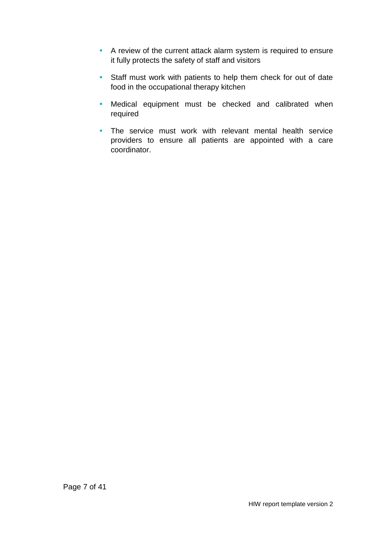- A review of the current attack alarm system is required to ensure it fully protects the safety of staff and visitors
- Staff must work with patients to help them check for out of date food in the occupational therapy kitchen
- Medical equipment must be checked and calibrated when required
- The service must work with relevant mental health service providers to ensure all patients are appointed with a care coordinator.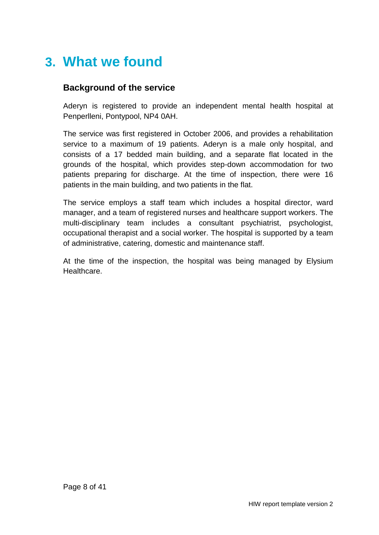## <span id="page-7-0"></span>**3. What we found**

### **Background of the service**

Aderyn is registered to provide an independent mental health hospital at Penperlleni, Pontypool, NP4 0AH.

The service was first registered in October 2006, and provides a rehabilitation service to a maximum of 19 patients. Aderyn is a male only hospital, and consists of a 17 bedded main building, and a separate flat located in the grounds of the hospital, which provides step-down accommodation for two patients preparing for discharge. At the time of inspection, there were 16 patients in the main building, and two patients in the flat.

The service employs a staff team which includes a hospital director, ward manager, and a team of registered nurses and healthcare support workers. The multi-disciplinary team includes a consultant psychiatrist, psychologist, occupational therapist and a social worker. The hospital is supported by a team of administrative, catering, domestic and maintenance staff.

At the time of the inspection, the hospital was being managed by Elysium Healthcare.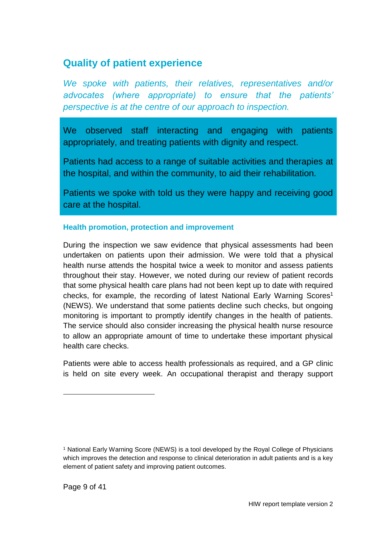### <span id="page-8-0"></span>**Quality of patient experience**

*We spoke with patients, their relatives, representatives and/or advocates (where appropriate) to ensure that the patients' perspective is at the centre of our approach to inspection.*

We observed staff interacting and engaging with patients appropriately, and treating patients with dignity and respect.

Patients had access to a range of suitable activities and therapies at the hospital, and within the community, to aid their rehabilitation.

Patients we spoke with told us they were happy and receiving good care at the hospital.

#### **Health promotion, protection and improvement**

During the inspection we saw evidence that physical assessments had been undertaken on patients upon their admission. We were told that a physical health nurse attends the hospital twice a week to monitor and assess patients throughout their stay. However, we noted during our review of patient records that some physical health care plans had not been kept up to date with required checks, for example, the recording of latest National Early Warning Scores 1 (NEWS). We understand that some patients decline such checks, but ongoing monitoring is important to promptly identify changes in the health of patients. The service should also consider increasing the physical health nurse resource to allow an appropriate amount of time to undertake these important physical health care checks.

Patients were able to access health professionals as required, and a GP clinic is held on site every week. An occupational therapist and therapy support

 $\overline{a}$ 

<sup>1</sup> National Early Warning Score (NEWS) is a tool developed by the Royal College of Physicians which improves the detection and response to clinical deterioration in adult patients and is a key element of patient safety and improving patient outcomes.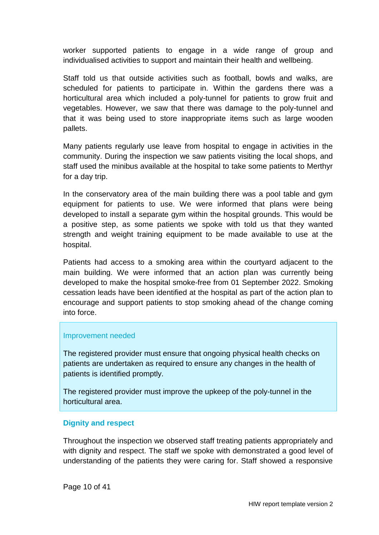worker supported patients to engage in a wide range of group and individualised activities to support and maintain their health and wellbeing.

Staff told us that outside activities such as football, bowls and walks, are scheduled for patients to participate in. Within the gardens there was a horticultural area which included a poly-tunnel for patients to grow fruit and vegetables. However, we saw that there was damage to the poly-tunnel and that it was being used to store inappropriate items such as large wooden pallets.

Many patients regularly use leave from hospital to engage in activities in the community. During the inspection we saw patients visiting the local shops, and staff used the minibus available at the hospital to take some patients to Merthyr for a day trip.

In the conservatory area of the main building there was a pool table and gym equipment for patients to use. We were informed that plans were being developed to install a separate gym within the hospital grounds. This would be a positive step, as some patients we spoke with told us that they wanted strength and weight training equipment to be made available to use at the hospital.

Patients had access to a smoking area within the courtyard adjacent to the main building. We were informed that an action plan was currently being developed to make the hospital smoke-free from 01 September 2022. Smoking cessation leads have been identified at the hospital as part of the action plan to encourage and support patients to stop smoking ahead of the change coming into force.

#### Improvement needed

The registered provider must ensure that ongoing physical health checks on patients are undertaken as required to ensure any changes in the health of patients is identified promptly.

The registered provider must improve the upkeep of the poly-tunnel in the horticultural area.

#### **Dignity and respect**

Throughout the inspection we observed staff treating patients appropriately and with dignity and respect. The staff we spoke with demonstrated a good level of understanding of the patients they were caring for. Staff showed a responsive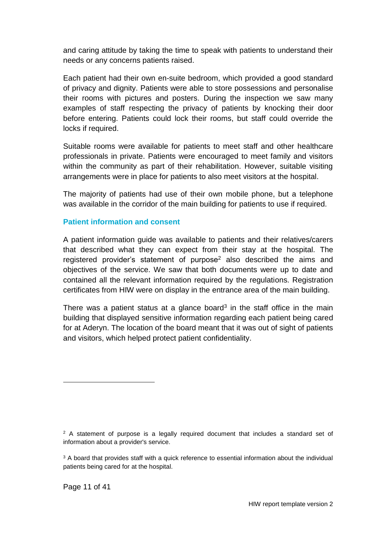and caring attitude by taking the time to speak with patients to understand their needs or any concerns patients raised.

Each patient had their own en-suite bedroom, which provided a good standard of privacy and dignity. Patients were able to store possessions and personalise their rooms with pictures and posters. During the inspection we saw many examples of staff respecting the privacy of patients by knocking their door before entering. Patients could lock their rooms, but staff could override the locks if required.

Suitable rooms were available for patients to meet staff and other healthcare professionals in private. Patients were encouraged to meet family and visitors within the community as part of their rehabilitation. However, suitable visiting arrangements were in place for patients to also meet visitors at the hospital.

The majority of patients had use of their own mobile phone, but a telephone was available in the corridor of the main building for patients to use if required.

#### **Patient information and consent**

A patient information guide was available to patients and their relatives/carers that described what they can expect from their stay at the hospital. The registered provider's statement of purpose<sup>2</sup> also described the aims and objectives of the service. We saw that both documents were up to date and contained all the relevant information required by the regulations. Registration certificates from HIW were on display in the entrance area of the main building.

There was a patient status at a glance board<sup>3</sup> in the staff office in the main building that displayed sensitive information regarding each patient being cared for at Aderyn. The location of the board meant that it was out of sight of patients and visitors, which helped protect patient confidentiality.

l

 $2$  A statement of purpose is a legally required document that includes a standard set of information about a provider's service.

<sup>&</sup>lt;sup>3</sup> A board that provides staff with a quick reference to essential information about the individual patients being cared for at the hospital.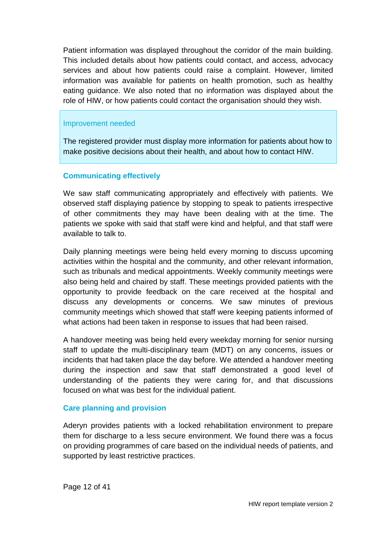Patient information was displayed throughout the corridor of the main building. This included details about how patients could contact, and access, advocacy services and about how patients could raise a complaint. However, limited information was available for patients on health promotion, such as healthy eating guidance. We also noted that no information was displayed about the role of HIW, or how patients could contact the organisation should they wish.

#### Improvement needed

The registered provider must display more information for patients about how to make positive decisions about their health, and about how to contact HIW.

#### **Communicating effectively**

We saw staff communicating appropriately and effectively with patients. We observed staff displaying patience by stopping to speak to patients irrespective of other commitments they may have been dealing with at the time. The patients we spoke with said that staff were kind and helpful, and that staff were available to talk to.

Daily planning meetings were being held every morning to discuss upcoming activities within the hospital and the community, and other relevant information, such as tribunals and medical appointments. Weekly community meetings were also being held and chaired by staff. These meetings provided patients with the opportunity to provide feedback on the care received at the hospital and discuss any developments or concerns. We saw minutes of previous community meetings which showed that staff were keeping patients informed of what actions had been taken in response to issues that had been raised.

A handover meeting was being held every weekday morning for senior nursing staff to update the multi-disciplinary team (MDT) on any concerns, issues or incidents that had taken place the day before. We attended a handover meeting during the inspection and saw that staff demonstrated a good level of understanding of the patients they were caring for, and that discussions focused on what was best for the individual patient.

#### **Care planning and provision**

Aderyn provides patients with a locked rehabilitation environment to prepare them for discharge to a less secure environment. We found there was a focus on providing programmes of care based on the individual needs of patients, and supported by least restrictive practices.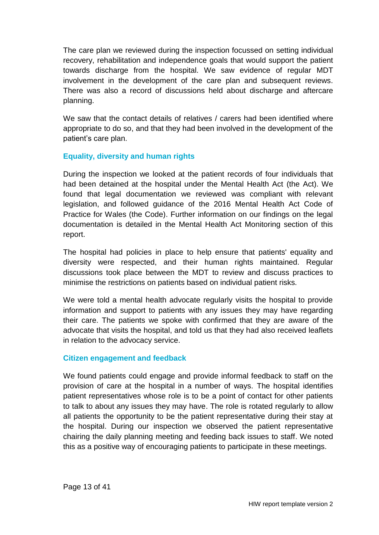The care plan we reviewed during the inspection focussed on setting individual recovery, rehabilitation and independence goals that would support the patient towards discharge from the hospital. We saw evidence of regular MDT involvement in the development of the care plan and subsequent reviews. There was also a record of discussions held about discharge and aftercare planning.

We saw that the contact details of relatives / carers had been identified where appropriate to do so, and that they had been involved in the development of the patient's care plan.

#### **Equality, diversity and human rights**

During the inspection we looked at the patient records of four individuals that had been detained at the hospital under the Mental Health Act (the Act). We found that legal documentation we reviewed was compliant with relevant legislation, and followed guidance of the 2016 Mental Health Act Code of Practice for Wales (the Code). Further information on our findings on the legal documentation is detailed in the Mental Health Act Monitoring section of this report.

The hospital had policies in place to help ensure that patients' equality and diversity were respected, and their human rights maintained. Regular discussions took place between the MDT to review and discuss practices to minimise the restrictions on patients based on individual patient risks.

We were told a mental health advocate regularly visits the hospital to provide information and support to patients with any issues they may have regarding their care. The patients we spoke with confirmed that they are aware of the advocate that visits the hospital, and told us that they had also received leaflets in relation to the advocacy service.

#### **Citizen engagement and feedback**

We found patients could engage and provide informal feedback to staff on the provision of care at the hospital in a number of ways. The hospital identifies patient representatives whose role is to be a point of contact for other patients to talk to about any issues they may have. The role is rotated regularly to allow all patients the opportunity to be the patient representative during their stay at the hospital. During our inspection we observed the patient representative chairing the daily planning meeting and feeding back issues to staff. We noted this as a positive way of encouraging patients to participate in these meetings.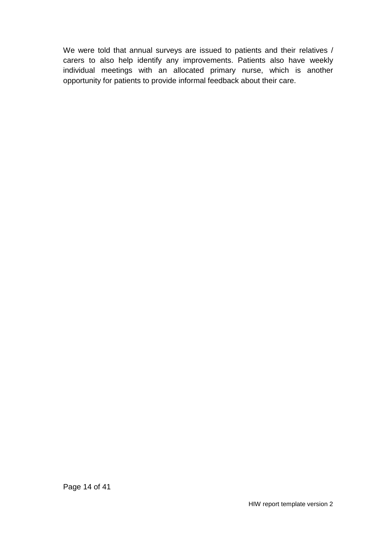We were told that annual surveys are issued to patients and their relatives / carers to also help identify any improvements. Patients also have weekly individual meetings with an allocated primary nurse, which is another opportunity for patients to provide informal feedback about their care.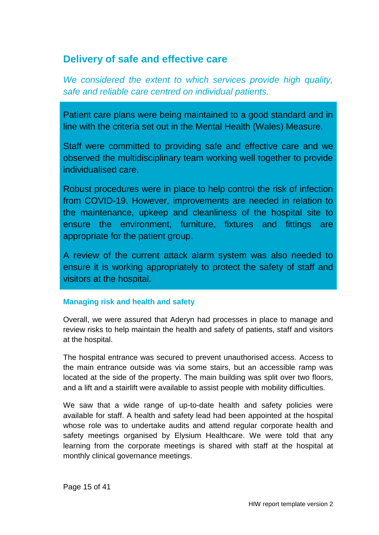### <span id="page-14-0"></span>**Delivery of safe and effective care**

*We considered the extent to which services provide high quality, safe and reliable care centred on individual patients.*

Patient care plans were being maintained to a good standard and in line with the criteria set out in the Mental Health (Wales) Measure.

Staff were committed to providing safe and effective care and we observed the multidisciplinary team working well together to provide individualised care.

Robust procedures were in place to help control the risk of infection from COVID-19. However, improvements are needed in relation to the maintenance, upkeep and cleanliness of the hospital site to ensure the environment, furniture, fixtures and fittings are appropriate for the patient group.

A review of the current attack alarm system was also needed to ensure it is working appropriately to protect the safety of staff and visitors at the hospital.

#### **Managing risk and health and safety**

Overall, we were assured that Aderyn had processes in place to manage and review risks to help maintain the health and safety of patients, staff and visitors at the hospital.

The hospital entrance was secured to prevent unauthorised access. Access to the main entrance outside was via some stairs, but an accessible ramp was located at the side of the property. The main building was split over two floors, and a lift and a stairlift were available to assist people with mobility difficulties.

We saw that a wide range of up-to-date health and safety policies were available for staff. A health and safety lead had been appointed at the hospital whose role was to undertake audits and attend regular corporate health and safety meetings organised by Elysium Healthcare. We were told that any learning from the corporate meetings is shared with staff at the hospital at monthly clinical governance meetings.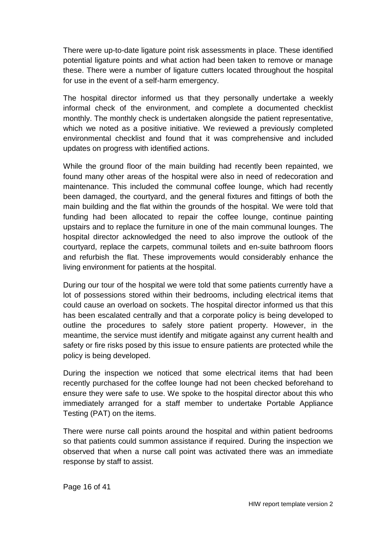There were up-to-date ligature point risk assessments in place. These identified potential ligature points and what action had been taken to remove or manage these. There were a number of ligature cutters located throughout the hospital for use in the event of a self-harm emergency.

The hospital director informed us that they personally undertake a weekly informal check of the environment, and complete a documented checklist monthly. The monthly check is undertaken alongside the patient representative, which we noted as a positive initiative. We reviewed a previously completed environmental checklist and found that it was comprehensive and included updates on progress with identified actions.

While the ground floor of the main building had recently been repainted, we found many other areas of the hospital were also in need of redecoration and maintenance. This included the communal coffee lounge, which had recently been damaged, the courtyard, and the general fixtures and fittings of both the main building and the flat within the grounds of the hospital. We were told that funding had been allocated to repair the coffee lounge, continue painting upstairs and to replace the furniture in one of the main communal lounges. The hospital director acknowledged the need to also improve the outlook of the courtyard, replace the carpets, communal toilets and en-suite bathroom floors and refurbish the flat. These improvements would considerably enhance the living environment for patients at the hospital.

During our tour of the hospital we were told that some patients currently have a lot of possessions stored within their bedrooms, including electrical items that could cause an overload on sockets. The hospital director informed us that this has been escalated centrally and that a corporate policy is being developed to outline the procedures to safely store patient property. However, in the meantime, the service must identify and mitigate against any current health and safety or fire risks posed by this issue to ensure patients are protected while the policy is being developed.

During the inspection we noticed that some electrical items that had been recently purchased for the coffee lounge had not been checked beforehand to ensure they were safe to use. We spoke to the hospital director about this who immediately arranged for a staff member to undertake Portable Appliance Testing (PAT) on the items.

There were nurse call points around the hospital and within patient bedrooms so that patients could summon assistance if required. During the inspection we observed that when a nurse call point was activated there was an immediate response by staff to assist.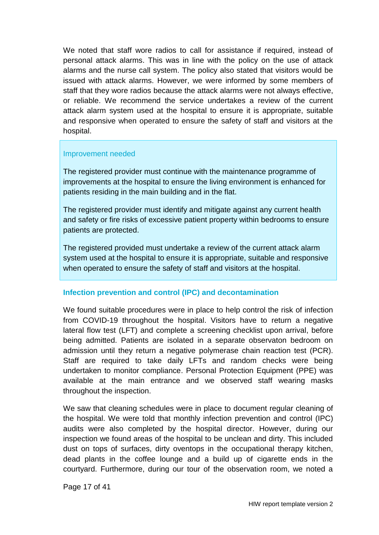We noted that staff wore radios to call for assistance if required, instead of personal attack alarms. This was in line with the policy on the use of attack alarms and the nurse call system. The policy also stated that visitors would be issued with attack alarms. However, we were informed by some members of staff that they wore radios because the attack alarms were not always effective, or reliable. We recommend the service undertakes a review of the current attack alarm system used at the hospital to ensure it is appropriate, suitable and responsive when operated to ensure the safety of staff and visitors at the hospital.

#### Improvement needed

The registered provider must continue with the maintenance programme of improvements at the hospital to ensure the living environment is enhanced for patients residing in the main building and in the flat.

The registered provider must identify and mitigate against any current health and safety or fire risks of excessive patient property within bedrooms to ensure patients are protected.

The registered provided must undertake a review of the current attack alarm system used at the hospital to ensure it is appropriate, suitable and responsive when operated to ensure the safety of staff and visitors at the hospital.

#### **Infection prevention and control (IPC) and decontamination**

We found suitable procedures were in place to help control the risk of infection from COVID-19 throughout the hospital. Visitors have to return a negative lateral flow test (LFT) and complete a screening checklist upon arrival, before being admitted. Patients are isolated in a separate observaton bedroom on admission until they return a negative polymerase chain reaction test (PCR). Staff are required to take daily LFTs and random checks were being undertaken to monitor compliance. Personal Protection Equipment (PPE) was available at the main entrance and we observed staff wearing masks throughout the inspection.

We saw that cleaning schedules were in place to document regular cleaning of the hospital. We were told that monthly infection prevention and control (IPC) audits were also completed by the hospital director. However, during our inspection we found areas of the hospital to be unclean and dirty. This included dust on tops of surfaces, dirty oventops in the occupational therapy kitchen, dead plants in the coffee lounge and a build up of cigarette ends in the courtyard. Furthermore, during our tour of the observation room, we noted a

Page 17 of 41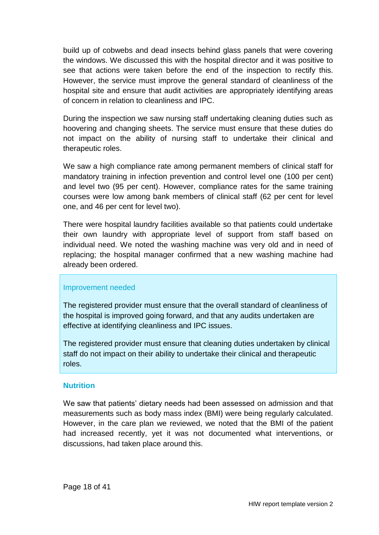build up of cobwebs and dead insects behind glass panels that were covering the windows. We discussed this with the hospital director and it was positive to see that actions were taken before the end of the inspection to rectify this. However, the service must improve the general standard of cleanliness of the hospital site and ensure that audit activities are appropriately identifying areas of concern in relation to cleanliness and IPC.

During the inspection we saw nursing staff undertaking cleaning duties such as hoovering and changing sheets. The service must ensure that these duties do not impact on the ability of nursing staff to undertake their clinical and therapeutic roles.

We saw a high compliance rate among permanent members of clinical staff for mandatory training in infection prevention and control level one (100 per cent) and level two (95 per cent). However, compliance rates for the same training courses were low among bank members of clinical staff (62 per cent for level one, and 46 per cent for level two).

There were hospital laundry facilities available so that patients could undertake their own laundry with appropriate level of support from staff based on individual need. We noted the washing machine was very old and in need of replacing; the hospital manager confirmed that a new washing machine had already been ordered.

#### Improvement needed

The registered provider must ensure that the overall standard of cleanliness of the hospital is improved going forward, and that any audits undertaken are effective at identifying cleanliness and IPC issues.

The registered provider must ensure that cleaning duties undertaken by clinical staff do not impact on their ability to undertake their clinical and therapeutic roles.

#### **Nutrition**

We saw that patients' dietary needs had been assessed on admission and that measurements such as body mass index (BMI) were being regularly calculated. However, in the care plan we reviewed, we noted that the BMI of the patient had increased recently, yet it was not documented what interventions, or discussions, had taken place around this.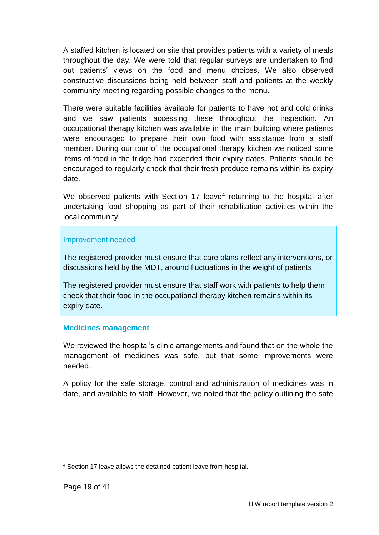A staffed kitchen is located on site that provides patients with a variety of meals throughout the day. We were told that regular surveys are undertaken to find out patients' views on the food and menu choices. We also observed constructive discussions being held between staff and patients at the weekly community meeting regarding possible changes to the menu.

There were suitable facilities available for patients to have hot and cold drinks and we saw patients accessing these throughout the inspection. An occupational therapy kitchen was available in the main building where patients were encouraged to prepare their own food with assistance from a staff member. During our tour of the occupational therapy kitchen we noticed some items of food in the fridge had exceeded their expiry dates. Patients should be encouraged to regularly check that their fresh produce remains within its expiry date.

We observed patients with Section 17 leave<sup>4</sup> returning to the hospital after undertaking food shopping as part of their rehabilitation activities within the local community.

#### Improvement needed

The registered provider must ensure that care plans reflect any interventions, or discussions held by the MDT, around fluctuations in the weight of patients.

The registered provider must ensure that staff work with patients to help them check that their food in the occupational therapy kitchen remains within its expiry date.

#### **Medicines management**

We reviewed the hospital's clinic arrangements and found that on the whole the management of medicines was safe, but that some improvements were needed.

A policy for the safe storage, control and administration of medicines was in date, and available to staff. However, we noted that the policy outlining the safe

l

<sup>4</sup> Section 17 leave allows the detained patient leave from hospital.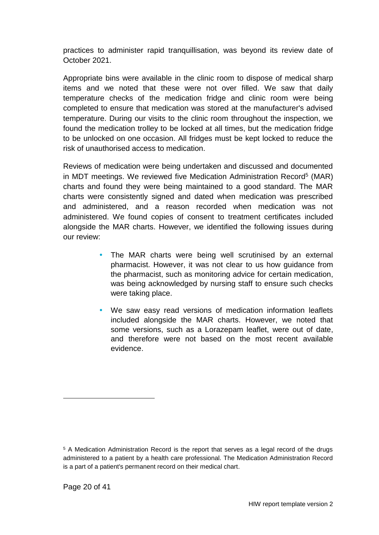practices to administer rapid tranquillisation, was beyond its review date of October 2021.

Appropriate bins were available in the clinic room to dispose of medical sharp items and we noted that these were not over filled. We saw that daily temperature checks of the medication fridge and clinic room were being completed to ensure that medication was stored at the manufacturer's advised temperature. During our visits to the clinic room throughout the inspection, we found the medication trolley to be locked at all times, but the medication fridge to be unlocked on one occasion. All fridges must be kept locked to reduce the risk of unauthorised access to medication.

Reviews of medication were being undertaken and discussed and documented in MDT meetings. We reviewed five Medication Administration Record<sup>5</sup> (MAR) charts and found they were being maintained to a good standard. The MAR charts were consistently signed and dated when medication was prescribed and administered, and a reason recorded when medication was not administered. We found copies of consent to treatment certificates included alongside the MAR charts. However, we identified the following issues during our review:

- The MAR charts were being well scrutinised by an external pharmacist. However, it was not clear to us how guidance from the pharmacist, such as monitoring advice for certain medication, was being acknowledged by nursing staff to ensure such checks were taking place.
- We saw easy read versions of medication information leaflets included alongside the MAR charts. However, we noted that some versions, such as a Lorazepam leaflet, were out of date, and therefore were not based on the most recent available evidence.

 $\overline{a}$ 

<sup>5</sup> A Medication Administration Record is the report that serves as a legal record of the drugs administered to a patient by a health care professional. The Medication Administration Record is a part of a patient's permanent record on their medical chart.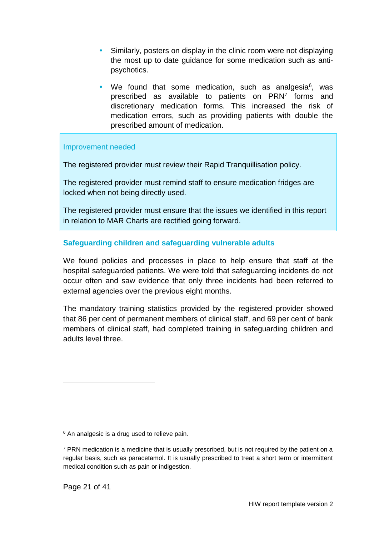- Similarly, posters on display in the clinic room were not displaying the most up to date guidance for some medication such as antipsychotics.
- We found that some medication, such as analgesia $6$ , was prescribed as available to patients on PRN<sup>7</sup> forms and discretionary medication forms. This increased the risk of medication errors, such as providing patients with double the prescribed amount of medication.

#### Improvement needed

The registered provider must review their Rapid Tranquillisation policy.

The registered provider must remind staff to ensure medication fridges are locked when not being directly used.

The registered provider must ensure that the issues we identified in this report in relation to MAR Charts are rectified going forward.

#### **Safeguarding children and safeguarding vulnerable adults**

We found policies and processes in place to help ensure that staff at the hospital safeguarded patients. We were told that safeguarding incidents do not occur often and saw evidence that only three incidents had been referred to external agencies over the previous eight months.

The mandatory training statistics provided by the registered provider showed that 86 per cent of permanent members of clinical staff, and 69 per cent of bank members of clinical staff, had completed training in safeguarding children and adults level three.

l

<sup>&</sup>lt;sup>6</sup> An analgesic is a drug used to relieve pain.

 $7$  PRN medication is a medicine that is usually prescribed, but is not required by the patient on a regular basis, such as paracetamol. It is usually prescribed to treat a short term or intermittent medical condition such as pain or indigestion.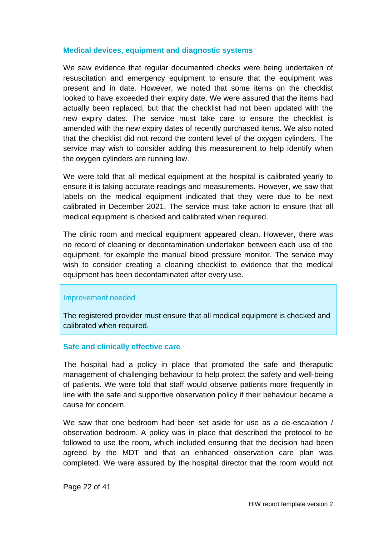#### **Medical devices, equipment and diagnostic systems**

We saw evidence that regular documented checks were being undertaken of resuscitation and emergency equipment to ensure that the equipment was present and in date. However, we noted that some items on the checklist looked to have exceeded their expiry date. We were assured that the items had actually been replaced, but that the checklist had not been updated with the new expiry dates. The service must take care to ensure the checklist is amended with the new expiry dates of recently purchased items. We also noted that the checklist did not record the content level of the oxygen cylinders. The service may wish to consider adding this measurement to help identify when the oxygen cylinders are running low.

We were told that all medical equipment at the hospital is calibrated yearly to ensure it is taking accurate readings and measurements. However, we saw that labels on the medical equipment indicated that they were due to be next calibrated in December 2021. The service must take action to ensure that all medical equipment is checked and calibrated when required.

The clinic room and medical equipment appeared clean. However, there was no record of cleaning or decontamination undertaken between each use of the equipment, for example the manual blood pressure monitor. The service may wish to consider creating a cleaning checklist to evidence that the medical equipment has been decontaminated after every use.

#### Improvement needed

The registered provider must ensure that all medical equipment is checked and calibrated when required.

#### **Safe and clinically effective care**

The hospital had a policy in place that promoted the safe and theraputic management of challenging behaviour to help protect the safety and well-being of patients. We were told that staff would observe patients more frequently in line with the safe and supportive observation policy if their behaviour became a cause for concern.

We saw that one bedroom had been set aside for use as a de-escalation / observation bedroom. A policy was in place that described the protocol to be followed to use the room, which included ensuring that the decision had been agreed by the MDT and that an enhanced observation care plan was completed. We were assured by the hospital director that the room would not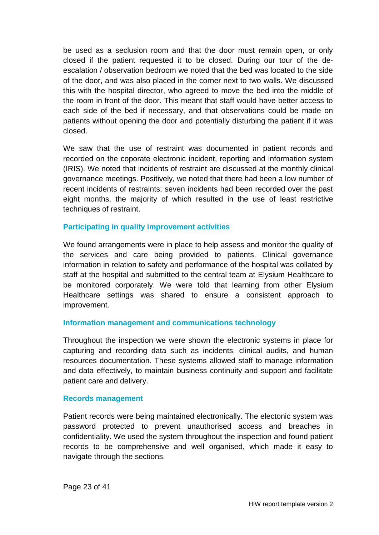be used as a seclusion room and that the door must remain open, or only closed if the patient requested it to be closed. During our tour of the deescalation / observation bedroom we noted that the bed was located to the side of the door, and was also placed in the corner next to two walls. We discussed this with the hospital director, who agreed to move the bed into the middle of the room in front of the door. This meant that staff would have better access to each side of the bed if necessary, and that observations could be made on patients without opening the door and potentially disturbing the patient if it was closed.

We saw that the use of restraint was documented in patient records and recorded on the coporate electronic incident, reporting and information system (IRIS). We noted that incidents of restraint are discussed at the monthly clinical governance meetings. Positively, we noted that there had been a low number of recent incidents of restraints; seven incidents had been recorded over the past eight months, the majority of which resulted in the use of least restrictive techniques of restraint.

#### **Participating in quality improvement activities**

We found arrangements were in place to help assess and monitor the quality of the services and care being provided to patients. Clinical governance information in relation to safety and performance of the hospital was collated by staff at the hospital and submitted to the central team at Elysium Healthcare to be monitored corporately. We were told that learning from other Elysium Healthcare settings was shared to ensure a consistent approach to improvement.

#### **Information management and communications technology**

Throughout the inspection we were shown the electronic systems in place for capturing and recording data such as incidents, clinical audits, and human resources documentation. These systems allowed staff to manage information and data effectively, to maintain business continuity and support and facilitate patient care and delivery.

#### **Records management**

Patient records were being maintained electronically. The electonic system was password protected to prevent unauthorised access and breaches in confidentiality. We used the system throughout the inspection and found patient records to be comprehensive and well organised, which made it easy to navigate through the sections.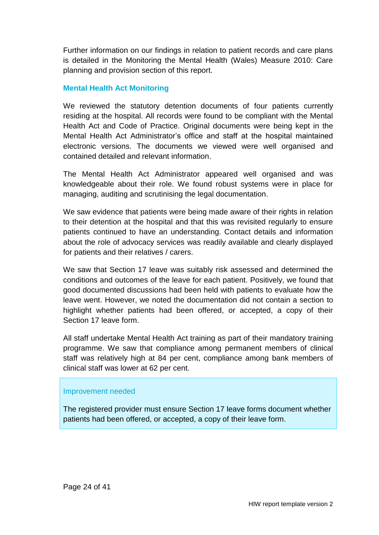Further information on our findings in relation to patient records and care plans is detailed in the Monitoring the Mental Health (Wales) Measure 2010: Care planning and provision section of this report.

#### **Mental Health Act Monitoring**

We reviewed the statutory detention documents of four patients currently residing at the hospital. All records were found to be compliant with the Mental Health Act and Code of Practice. Original documents were being kept in the Mental Health Act Administrator's office and staff at the hospital maintained electronic versions. The documents we viewed were well organised and contained detailed and relevant information.

The Mental Health Act Administrator appeared well organised and was knowledgeable about their role. We found robust systems were in place for managing, auditing and scrutinising the legal documentation.

We saw evidence that patients were being made aware of their rights in relation to their detention at the hospital and that this was revisited regularly to ensure patients continued to have an understanding. Contact details and information about the role of advocacy services was readily available and clearly displayed for patients and their relatives / carers.

We saw that Section 17 leave was suitably risk assessed and determined the conditions and outcomes of the leave for each patient. Positively, we found that good documented discussions had been held with patients to evaluate how the leave went. However, we noted the documentation did not contain a section to highlight whether patients had been offered, or accepted, a copy of their Section 17 leave form.

All staff undertake Mental Health Act training as part of their mandatory training programme. We saw that compliance among permanent members of clinical staff was relatively high at 84 per cent, compliance among bank members of clinical staff was lower at 62 per cent.

#### Improvement needed

The registered provider must ensure Section 17 leave forms document whether patients had been offered, or accepted, a copy of their leave form.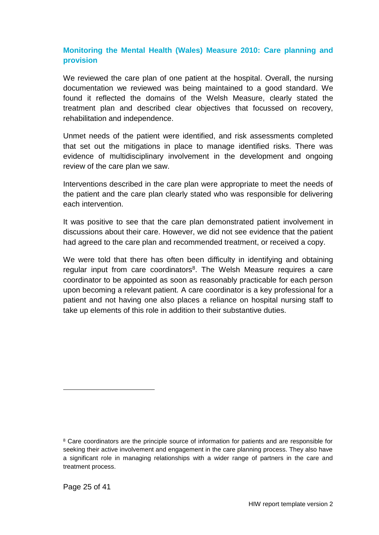#### **Monitoring the Mental Health (Wales) Measure 2010: Care planning and provision**

We reviewed the care plan of one patient at the hospital. Overall, the nursing documentation we reviewed was being maintained to a good standard. We found it reflected the domains of the Welsh Measure, clearly stated the treatment plan and described clear objectives that focussed on recovery, rehabilitation and independence.

Unmet needs of the patient were identified, and risk assessments completed that set out the mitigations in place to manage identified risks. There was evidence of multidisciplinary involvement in the development and ongoing review of the care plan we saw.

Interventions described in the care plan were appropriate to meet the needs of the patient and the care plan clearly stated who was responsible for delivering each intervention.

It was positive to see that the care plan demonstrated patient involvement in discussions about their care. However, we did not see evidence that the patient had agreed to the care plan and recommended treatment, or received a copy.

We were told that there has often been difficulty in identifying and obtaining regular input from care coordinators<sup>8</sup>. The Welsh Measure requires a care coordinator to be appointed as soon as reasonably practicable for each person upon becoming a relevant patient. A care coordinator is a key professional for a patient and not having one also places a reliance on hospital nursing staff to take up elements of this role in addition to their substantive duties.

l

<sup>&</sup>lt;sup>8</sup> Care coordinators are the principle source of information for patients and are responsible for seeking their active involvement and engagement in the care planning process. They also have a significant role in managing relationships with a wider range of partners in the care and treatment process.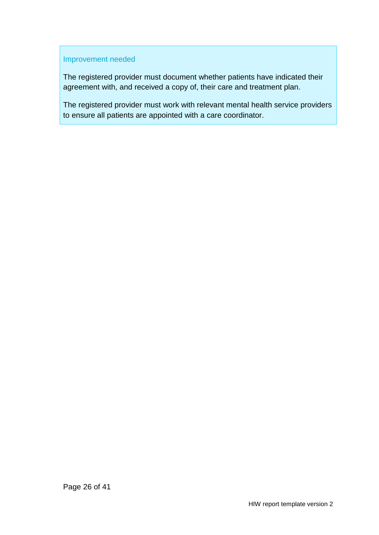#### Improvement needed

The registered provider must document whether patients have indicated their agreement with, and received a copy of, their care and treatment plan.

The registered provider must work with relevant mental health service providers to ensure all patients are appointed with a care coordinator.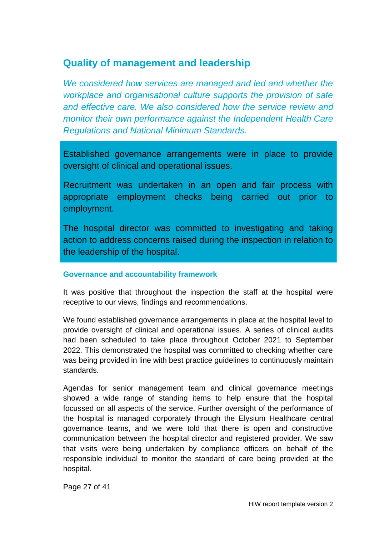### <span id="page-26-0"></span>**Quality of management and leadership**

*We considered how services are managed and led and whether the workplace and organisational culture supports the provision of safe and effective care. We also considered how the service review and monitor their own performance against the Independent Health Care Regulations and National Minimum Standards.*

Established governance arrangements were in place to provide oversight of clinical and operational issues.

Recruitment was undertaken in an open and fair process with appropriate employment checks being carried out prior to employment.

The hospital director was committed to investigating and taking action to address concerns raised during the inspection in relation to the leadership of the hospital.

#### **Governance and accountability framework**

It was positive that throughout the inspection the staff at the hospital were receptive to our views, findings and recommendations.

We found established governance arrangements in place at the hospital level to provide oversight of clinical and operational issues. A series of clinical audits had been scheduled to take place throughout October 2021 to September 2022. This demonstrated the hospital was committed to checking whether care was being provided in line with best practice guidelines to continuously maintain standards.

Agendas for senior management team and clinical governance meetings showed a wide range of standing items to help ensure that the hospital focussed on all aspects of the service. Further oversight of the performance of the hospital is managed corporately through the Elysium Healthcare central governance teams, and we were told that there is open and constructive communication between the hospital director and registered provider. We saw that visits were being undertaken by compliance officers on behalf of the responsible individual to monitor the standard of care being provided at the hospital.

Page 27 of 41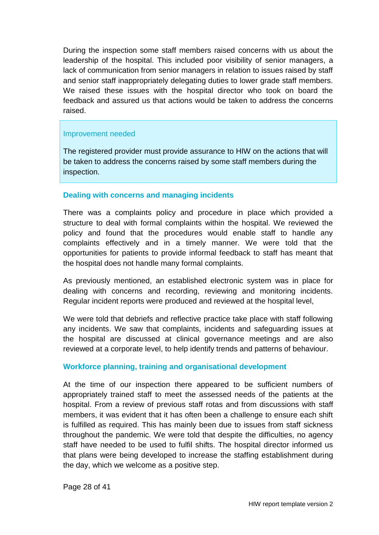During the inspection some staff members raised concerns with us about the leadership of the hospital. This included poor visibility of senior managers, a lack of communication from senior managers in relation to issues raised by staff and senior staff inappropriately delegating duties to lower grade staff members. We raised these issues with the hospital director who took on board the feedback and assured us that actions would be taken to address the concerns raised.

#### Improvement needed

The registered provider must provide assurance to HIW on the actions that will be taken to address the concerns raised by some staff members during the inspection.

#### **Dealing with concerns and managing incidents**

There was a complaints policy and procedure in place which provided a structure to deal with formal complaints within the hospital. We reviewed the policy and found that the procedures would enable staff to handle any complaints effectively and in a timely manner. We were told that the opportunities for patients to provide informal feedback to staff has meant that the hospital does not handle many formal complaints.

As previously mentioned, an established electronic system was in place for dealing with concerns and recording, reviewing and monitoring incidents. Regular incident reports were produced and reviewed at the hospital level,

We were told that debriefs and reflective practice take place with staff following any incidents. We saw that complaints, incidents and safeguarding issues at the hospital are discussed at clinical governance meetings and are also reviewed at a corporate level, to help identify trends and patterns of behaviour.

#### **Workforce planning, training and organisational development**

At the time of our inspection there appeared to be sufficient numbers of appropriately trained staff to meet the assessed needs of the patients at the hospital. From a review of previous staff rotas and from discussions with staff members, it was evident that it has often been a challenge to ensure each shift is fulfilled as required. This has mainly been due to issues from staff sickness throughout the pandemic. We were told that despite the difficulties, no agency staff have needed to be used to fulfil shifts. The hospital director informed us that plans were being developed to increase the staffing establishment during the day, which we welcome as a positive step.

Page 28 of 41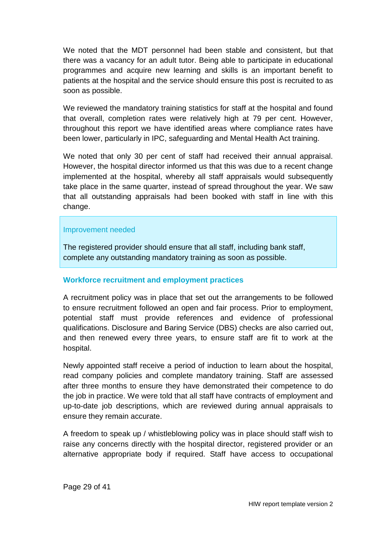We noted that the MDT personnel had been stable and consistent, but that there was a vacancy for an adult tutor. Being able to participate in educational programmes and acquire new learning and skills is an important benefit to patients at the hospital and the service should ensure this post is recruited to as soon as possible.

We reviewed the mandatory training statistics for staff at the hospital and found that overall, completion rates were relatively high at 79 per cent. However, throughout this report we have identified areas where compliance rates have been lower, particularly in IPC, safeguarding and Mental Health Act training.

We noted that only 30 per cent of staff had received their annual appraisal. However, the hospital director informed us that this was due to a recent change implemented at the hospital, whereby all staff appraisals would subsequently take place in the same quarter, instead of spread throughout the year. We saw that all outstanding appraisals had been booked with staff in line with this change.

#### Improvement needed

The registered provider should ensure that all staff, including bank staff, complete any outstanding mandatory training as soon as possible.

#### **Workforce recruitment and employment practices**

A recruitment policy was in place that set out the arrangements to be followed to ensure recruitment followed an open and fair process. Prior to employment, potential staff must provide references and evidence of professional qualifications. Disclosure and Baring Service (DBS) checks are also carried out, and then renewed every three years, to ensure staff are fit to work at the hospital.

Newly appointed staff receive a period of induction to learn about the hospital, read company policies and complete mandatory training. Staff are assessed after three months to ensure they have demonstrated their competence to do the job in practice. We were told that all staff have contracts of employment and up-to-date job descriptions, which are reviewed during annual appraisals to ensure they remain accurate.

A freedom to speak up / whistleblowing policy was in place should staff wish to raise any concerns directly with the hospital director, registered provider or an alternative appropriate body if required. Staff have access to occupational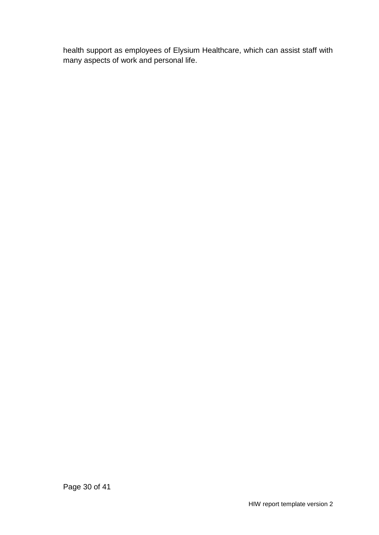health support as employees of Elysium Healthcare, which can assist staff with many aspects of work and personal life.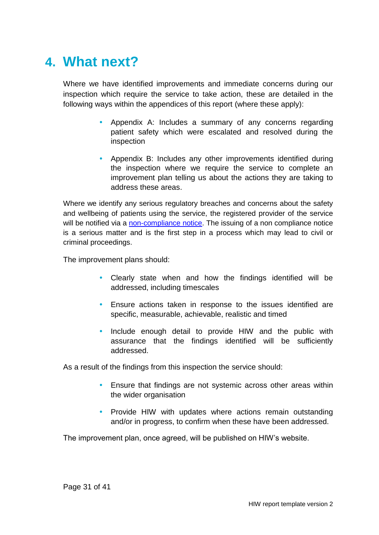## <span id="page-30-0"></span>**4. What next?**

Where we have identified improvements and immediate concerns during our inspection which require the service to take action, these are detailed in the following ways within the appendices of this report (where these apply):

- Appendix A: Includes a summary of any concerns regarding patient safety which were escalated and resolved during the inspection
- Appendix B: Includes any other improvements identified during the inspection where we require the service to complete an improvement plan telling us about the actions they are taking to address these areas.

Where we identify any serious regulatory breaches and concerns about the safety and wellbeing of patients using the service, the registered provider of the service will be notified via a [non-compliance notice.](https://hiw.org.uk/enforcement-and-non-compliance) The issuing of a non compliance notice is a serious matter and is the first step in a process which may lead to civil or criminal proceedings.

The improvement plans should:

- Clearly state when and how the findings identified will be addressed, including timescales
- Ensure actions taken in response to the issues identified are specific, measurable, achievable, realistic and timed
- Include enough detail to provide HIW and the public with assurance that the findings identified will be sufficiently addressed.

As a result of the findings from this inspection the service should:

- Ensure that findings are not systemic across other areas within the wider organisation
- Provide HIW with updates where actions remain outstanding and/or in progress, to confirm when these have been addressed.

The improvement plan, once agreed, will be published on HIW's website.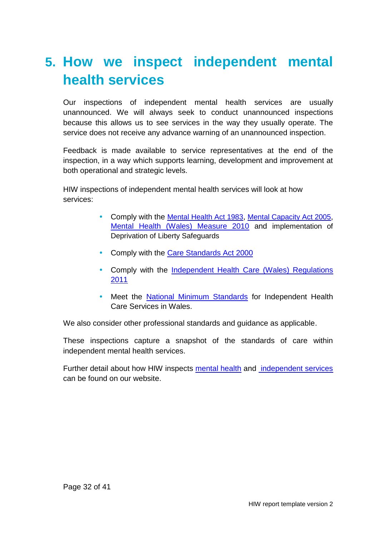## <span id="page-31-0"></span>**5. How we inspect independent mental health services**

Our inspections of independent mental health services are usually unannounced. We will always seek to conduct unannounced inspections because this allows us to see services in the way they usually operate. The service does not receive any advance warning of an unannounced inspection.

Feedback is made available to service representatives at the end of the inspection, in a way which supports learning, development and improvement at both operational and strategic levels.

HIW inspections of independent mental health services will look at how services:

- Comply with the [Mental Health Act 1983](http://www.legislation.gov.uk/ukpga/1983/20/contents), [Mental Capacity Act 2005](http://www.legislation.gov.uk/ukpga/2005/9/contents), [Mental Health \(Wales\) Measure 2010](http://www.legislation.gov.uk/mwa/2010/7/contents) and implementation of Deprivation of Liberty Safeguards
- Comply with the [Care Standards Act 2000](http://www.legislation.gov.uk/ukpga/2000/14/contents)
- Comply with the Independent Health [Care \(Wales\) Regulations](http://www.legislation.gov.uk/wsi/2011/734/contents/made)  [2011](http://www.legislation.gov.uk/wsi/2011/734/contents/made)
- Meet the [National Minimum Standards](https://gov.wales/sites/default/files/publications/2019-07/the-national-minimum-standards-for-independent-health-care-services-in-wales-2011-no-16.pdf) for Independent Health Care Services in Wales.

We also consider other professional standards and guidance as applicable.

These inspections capture a snapshot of the standards of care within independent mental health services.

Further detail about how HIW inspects [mental health](https://hiw.org.uk/mental-health-services) and [independent services](https://hiw.org.uk/sites/default/files/2019-06/170328inspectindependenten.pdf) can be found on our website.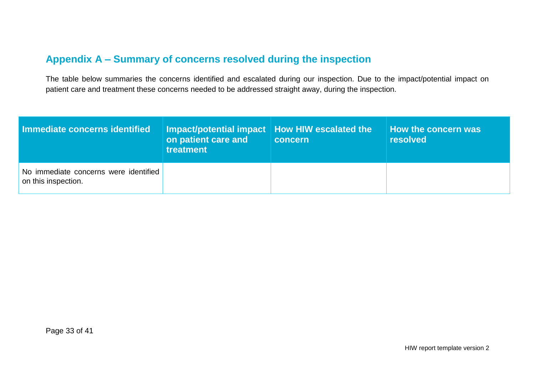### **Appendix A – Summary of concerns resolved during the inspection**

The table below summaries the concerns identified and escalated during our inspection. Due to the impact/potential impact on patient care and treatment these concerns needed to be addressed straight away, during the inspection.

<span id="page-32-0"></span>

| Immediate concerns identified                                | Impact/potential impact   How HIW escalated the \<br>on patient care and<br>treatment | concern | How the concern was<br>resolved |
|--------------------------------------------------------------|---------------------------------------------------------------------------------------|---------|---------------------------------|
| No immediate concerns were identified<br>on this inspection. |                                                                                       |         |                                 |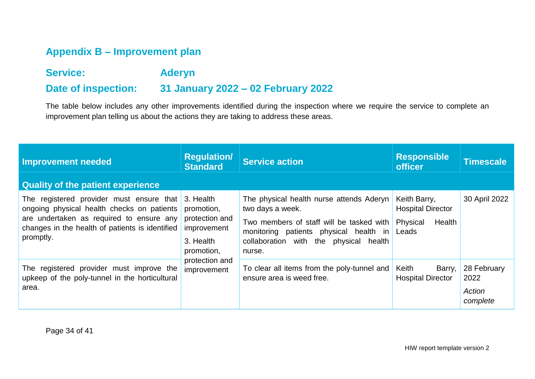### **Appendix B – Improvement plan**

### **Service: Aderyn Date of inspection: 31 January 2022 – 02 February 2022**

The table below includes any other improvements identified during the inspection where we require the service to complete an improvement plan telling us about the actions they are taking to address these areas.

<span id="page-33-0"></span>

| <b>Improvement needed</b>                                                                                                                                                                          | <b>Regulation/</b><br><b>Standard</b>                                                                                | <b>Service action</b>                                                                                                                                                                                     | <b>Responsible</b><br><b>officer</b>                                    | Timescale                                 |
|----------------------------------------------------------------------------------------------------------------------------------------------------------------------------------------------------|----------------------------------------------------------------------------------------------------------------------|-----------------------------------------------------------------------------------------------------------------------------------------------------------------------------------------------------------|-------------------------------------------------------------------------|-------------------------------------------|
| <b>Quality of the patient experience</b>                                                                                                                                                           |                                                                                                                      |                                                                                                                                                                                                           |                                                                         |                                           |
| The registered provider must ensure that<br>ongoing physical health checks on patients<br>are undertaken as required to ensure any<br>changes in the health of patients is identified<br>promptly. | 3. Health<br>promotion,<br>protection and<br>improvement<br>3. Health<br>promotion,<br>protection and<br>improvement | The physical health nurse attends Aderyn<br>two days a week.<br>Two members of staff will be tasked with<br>monitoring patients physical health in<br>collaboration with the physical<br>health<br>nurse. | Keith Barry,<br><b>Hospital Director</b><br>Health<br>Physical<br>Leads | 30 April 2022                             |
| The registered provider must improve the<br>upkeep of the poly-tunnel in the horticultural<br>area.                                                                                                |                                                                                                                      | To clear all items from the poly-tunnel and<br>ensure area is weed free.                                                                                                                                  | Keith<br>Barry,<br><b>Hospital Director</b>                             | 28 February<br>2022<br>Action<br>complete |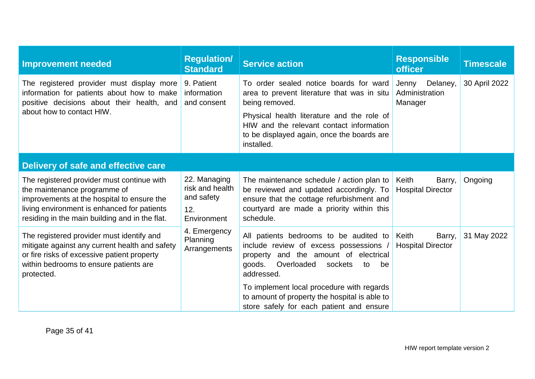| <b>Improvement needed</b>                                                                                                                                                                                                 | <b>Regulation/</b><br><b>Standard</b>                               | <b>Service action</b>                                                                                                                                                                                                                                         | <b>Responsible</b><br><b>officer</b>           | <b>Timescale</b> |  |  |
|---------------------------------------------------------------------------------------------------------------------------------------------------------------------------------------------------------------------------|---------------------------------------------------------------------|---------------------------------------------------------------------------------------------------------------------------------------------------------------------------------------------------------------------------------------------------------------|------------------------------------------------|------------------|--|--|
| The registered provider must display more<br>information for patients about how to make<br>positive decisions about their health, and<br>about how to contact HIW.                                                        | 9. Patient<br>information<br>and consent                            | To order sealed notice boards for ward<br>area to prevent literature that was in situ<br>being removed.<br>Physical health literature and the role of<br>HIW and the relevant contact information<br>to be displayed again, once the boards are<br>installed. | Delaney,<br>Jenny<br>Administration<br>Manager | 30 April 2022    |  |  |
| Delivery of safe and effective care                                                                                                                                                                                       |                                                                     |                                                                                                                                                                                                                                                               |                                                |                  |  |  |
| The registered provider must continue with<br>the maintenance programme of<br>improvements at the hospital to ensure the<br>living environment is enhanced for patients<br>residing in the main building and in the flat. | 22. Managing<br>risk and health<br>and safety<br>12.<br>Environment | The maintenance schedule / action plan to<br>be reviewed and updated accordingly. To<br>ensure that the cottage refurbishment and<br>courtyard are made a priority within this<br>schedule.                                                                   | Keith<br>Barry,<br><b>Hospital Director</b>    | Ongoing          |  |  |
| The registered provider must identify and<br>mitigate against any current health and safety<br>or fire risks of excessive patient property<br>within bedrooms to ensure patients are<br>protected.                        | 4. Emergency<br>Planning<br>Arrangements                            | All patients bedrooms to be audited to<br>include review of excess possessions /<br>and the amount of electrical<br>property<br>goods.<br>Overloaded<br>sockets<br>to<br>be<br>addressed.                                                                     | Keith<br>Barry,<br><b>Hospital Director</b>    | 31 May 2022      |  |  |
|                                                                                                                                                                                                                           |                                                                     | To implement local procedure with regards<br>to amount of property the hospital is able to<br>store safely for each patient and ensure                                                                                                                        |                                                |                  |  |  |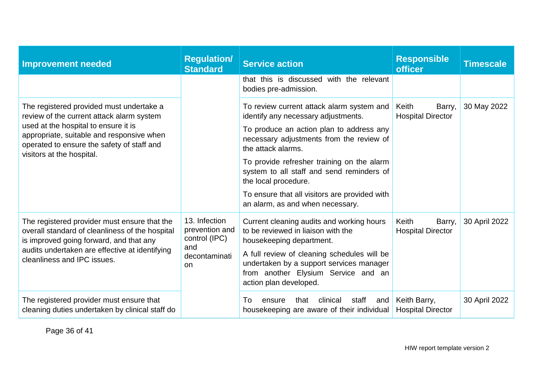| <b>Improvement needed</b>                                                                                                                                                                                                                             | <b>Regulation/</b><br><b>Standard</b>                                          | <b>Service action</b>                                                                                                                                                                                                                                                                                                                                                                                  | <b>Responsible</b><br><b>officer</b>        | <b>Timescale</b> |
|-------------------------------------------------------------------------------------------------------------------------------------------------------------------------------------------------------------------------------------------------------|--------------------------------------------------------------------------------|--------------------------------------------------------------------------------------------------------------------------------------------------------------------------------------------------------------------------------------------------------------------------------------------------------------------------------------------------------------------------------------------------------|---------------------------------------------|------------------|
|                                                                                                                                                                                                                                                       |                                                                                | that this is discussed with the relevant<br>bodies pre-admission.                                                                                                                                                                                                                                                                                                                                      |                                             |                  |
| The registered provided must undertake a<br>review of the current attack alarm system<br>used at the hospital to ensure it is<br>appropriate, suitable and responsive when<br>operated to ensure the safety of staff and<br>visitors at the hospital. |                                                                                | To review current attack alarm system and<br>identify any necessary adjustments.<br>To produce an action plan to address any<br>necessary adjustments from the review of<br>the attack alarms.<br>To provide refresher training on the alarm<br>system to all staff and send reminders of<br>the local procedure.<br>To ensure that all visitors are provided with<br>an alarm, as and when necessary. | Keith<br>Barry,<br><b>Hospital Director</b> | 30 May 2022      |
| The registered provider must ensure that the<br>overall standard of cleanliness of the hospital<br>is improved going forward, and that any<br>audits undertaken are effective at identifying<br>cleanliness and IPC issues.                           | 13. Infection<br>prevention and<br>control (IPC)<br>and<br>decontaminati<br>on | Current cleaning audits and working hours<br>to be reviewed in liaison with the<br>housekeeping department.<br>A full review of cleaning schedules will be<br>undertaken by a support services manager<br>from another Elysium Service and an<br>action plan developed.                                                                                                                                | Keith<br>Barry,<br><b>Hospital Director</b> | 30 April 2022    |
| The registered provider must ensure that<br>cleaning duties undertaken by clinical staff do                                                                                                                                                           |                                                                                | clinical<br>staff<br>To<br>that<br>ensure<br>and<br>housekeeping are aware of their individual                                                                                                                                                                                                                                                                                                         | Keith Barry,<br><b>Hospital Director</b>    | 30 April 2022    |

Page 36 of 41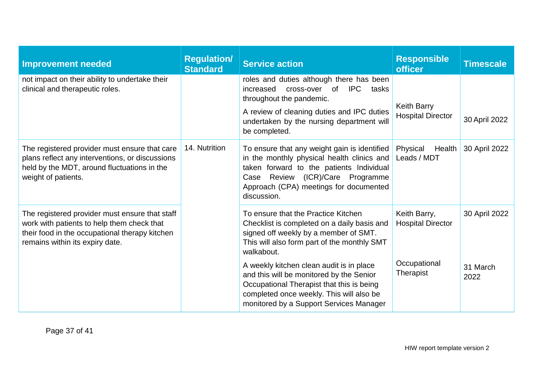| <b>Improvement needed</b>                                                                                                                                                         | <b>Regulation</b><br><b>Standard</b> | <b>Service action</b>                                                                                                                                                                                                               | <b>Responsible</b><br><b>officer</b>     | <b>Timescale</b> |
|-----------------------------------------------------------------------------------------------------------------------------------------------------------------------------------|--------------------------------------|-------------------------------------------------------------------------------------------------------------------------------------------------------------------------------------------------------------------------------------|------------------------------------------|------------------|
| not impact on their ability to undertake their<br>clinical and therapeutic roles.                                                                                                 |                                      | roles and duties although there has been<br>increased<br>of<br><b>IPC</b><br>cross-over<br>tasks<br>throughout the pandemic.                                                                                                        | <b>Keith Barry</b>                       |                  |
|                                                                                                                                                                                   |                                      | A review of cleaning duties and IPC duties<br>undertaken by the nursing department will<br>be completed.                                                                                                                            | <b>Hospital Director</b>                 | 30 April 2022    |
| The registered provider must ensure that care<br>plans reflect any interventions, or discussions<br>held by the MDT, around fluctuations in the<br>weight of patients.            | 14. Nutrition                        | To ensure that any weight gain is identified<br>in the monthly physical health clinics and<br>taken forward to the patients Individual<br>Case Review (ICR)/Care Programme<br>Approach (CPA) meetings for documented<br>discussion. | Physical<br>Health<br>Leads / MDT        | 30 April 2022    |
| The registered provider must ensure that staff<br>work with patients to help them check that<br>their food in the occupational therapy kitchen<br>remains within its expiry date. |                                      | To ensure that the Practice Kitchen<br>Checklist is completed on a daily basis and<br>signed off weekly by a member of SMT.<br>This will also form part of the monthly SMT<br>walkabout.                                            | Keith Barry,<br><b>Hospital Director</b> | 30 April 2022    |
|                                                                                                                                                                                   |                                      | A weekly kitchen clean audit is in place<br>and this will be monitored by the Senior<br>Occupational Therapist that this is being<br>completed once weekly. This will also be<br>monitored by a Support Services Manager            | Occupational<br>Therapist                | 31 March<br>2022 |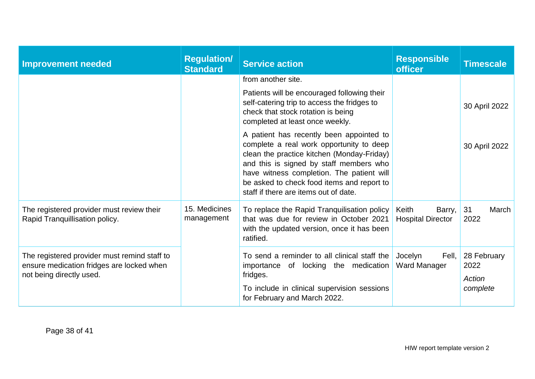| <b>Improvement needed</b>                                                                                             | <b>Regulation/</b><br><b>Standard</b> | <b>Service action</b>                                                                                                                                                                                                                                                                                             | <b>Responsible</b><br><b>officer</b>        | <b>Timescale</b>                          |
|-----------------------------------------------------------------------------------------------------------------------|---------------------------------------|-------------------------------------------------------------------------------------------------------------------------------------------------------------------------------------------------------------------------------------------------------------------------------------------------------------------|---------------------------------------------|-------------------------------------------|
|                                                                                                                       |                                       | from another site.                                                                                                                                                                                                                                                                                                |                                             |                                           |
|                                                                                                                       |                                       | Patients will be encouraged following their<br>self-catering trip to access the fridges to<br>check that stock rotation is being<br>completed at least once weekly.                                                                                                                                               |                                             | 30 April 2022                             |
|                                                                                                                       |                                       | A patient has recently been appointed to<br>complete a real work opportunity to deep<br>clean the practice kitchen (Monday-Friday)<br>and this is signed by staff members who<br>have witness completion. The patient will<br>be asked to check food items and report to<br>staff if there are items out of date. |                                             | 30 April 2022                             |
| The registered provider must review their<br>Rapid Tranquillisation policy.                                           | 15. Medicines<br>management           | To replace the Rapid Tranquilisation policy<br>that was due for review in October 2021<br>with the updated version, once it has been<br>ratified.                                                                                                                                                                 | Keith<br>Barry,<br><b>Hospital Director</b> | 31<br>March<br>2022                       |
| The registered provider must remind staff to<br>ensure medication fridges are locked when<br>not being directly used. |                                       | To send a reminder to all clinical staff the<br>importance of locking the medication<br>fridges.<br>To include in clinical supervision sessions<br>for February and March 2022.                                                                                                                                   | Jocelyn<br>Fell,<br>Ward Manager            | 28 February<br>2022<br>Action<br>complete |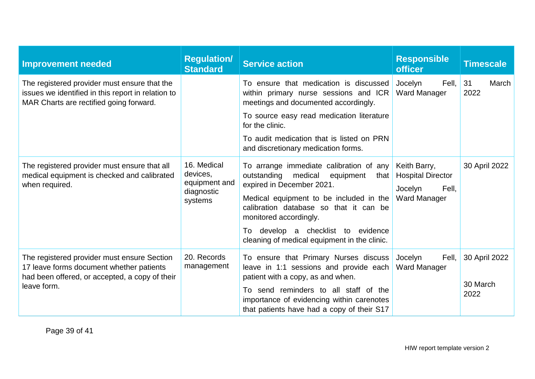| <b>Improvement needed</b>                                                                                                                                | <b>Regulation/</b><br><b>Standard</b>                             | <b>Service action</b>                                                                                                                                                                                                                                                                                              | <b>Responsible</b><br><b>officer</b>                                                | <b>Timescale</b>                  |
|----------------------------------------------------------------------------------------------------------------------------------------------------------|-------------------------------------------------------------------|--------------------------------------------------------------------------------------------------------------------------------------------------------------------------------------------------------------------------------------------------------------------------------------------------------------------|-------------------------------------------------------------------------------------|-----------------------------------|
| The registered provider must ensure that the<br>issues we identified in this report in relation to<br>MAR Charts are rectified going forward.            |                                                                   | To ensure that medication is discussed<br>within primary nurse sessions and ICR<br>meetings and documented accordingly.                                                                                                                                                                                            | Fell,<br>Jocelyn<br>Ward Manager                                                    | 31<br>March<br>2022               |
|                                                                                                                                                          |                                                                   | To source easy read medication literature<br>for the clinic.                                                                                                                                                                                                                                                       |                                                                                     |                                   |
|                                                                                                                                                          |                                                                   | To audit medication that is listed on PRN<br>and discretionary medication forms.                                                                                                                                                                                                                                   |                                                                                     |                                   |
| The registered provider must ensure that all<br>medical equipment is checked and calibrated<br>when required.                                            | 16. Medical<br>devices,<br>equipment and<br>diagnostic<br>systems | To arrange immediate calibration of any<br>outstanding medical equipment<br>that<br>expired in December 2021.<br>Medical equipment to be included in the<br>calibration database so that it can be<br>monitored accordingly.<br>To develop a checklist to evidence<br>cleaning of medical equipment in the clinic. | Keith Barry,<br><b>Hospital Director</b><br>Jocelyn<br>Fell,<br><b>Ward Manager</b> | 30 April 2022                     |
| The registered provider must ensure Section<br>17 leave forms document whether patients<br>had been offered, or accepted, a copy of their<br>leave form. | 20. Records<br>management                                         | To ensure that Primary Nurses discuss<br>leave in 1:1 sessions and provide each<br>patient with a copy, as and when.<br>To send reminders to all staff of the<br>importance of evidencing within carenotes<br>that patients have had a copy of their S17                                                           | Jocelyn<br>Fell,<br><b>Ward Manager</b>                                             | 30 April 2022<br>30 March<br>2022 |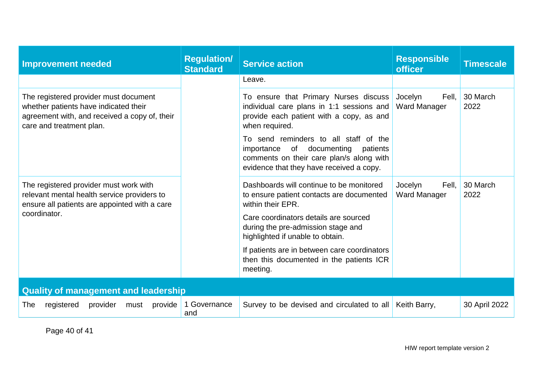| <b>Improvement needed</b>                                                                                                                                   | <b>Regulation/</b><br><b>Standard</b> | <b>Service action</b>                                                                                                                                                     | <b>Responsible</b><br><b>officer</b> | <b>Timescale</b> |  |
|-------------------------------------------------------------------------------------------------------------------------------------------------------------|---------------------------------------|---------------------------------------------------------------------------------------------------------------------------------------------------------------------------|--------------------------------------|------------------|--|
|                                                                                                                                                             |                                       | Leave.                                                                                                                                                                    |                                      |                  |  |
| The registered provider must document<br>whether patients have indicated their<br>agreement with, and received a copy of, their<br>care and treatment plan. |                                       | To ensure that Primary Nurses discuss<br>individual care plans in 1:1 sessions and<br>provide each patient with a copy, as and<br>when required.                          | Jocelyn<br>Fell,<br>Ward Manager     | 30 March<br>2022 |  |
|                                                                                                                                                             |                                       | To send reminders to all staff of the<br>of documenting<br>importance<br>patients<br>comments on their care plan/s along with<br>evidence that they have received a copy. |                                      |                  |  |
| The registered provider must work with<br>relevant mental health service providers to<br>ensure all patients are appointed with a care                      |                                       | Dashboards will continue to be monitored<br>to ensure patient contacts are documented<br>within their EPR.                                                                | Jocelyn<br>Fell.<br>Ward Manager     | 30 March<br>2022 |  |
| coordinator.                                                                                                                                                |                                       | Care coordinators details are sourced<br>during the pre-admission stage and<br>highlighted if unable to obtain.                                                           |                                      |                  |  |
|                                                                                                                                                             |                                       | If patients are in between care coordinators<br>then this documented in the patients ICR<br>meeting.                                                                      |                                      |                  |  |
| <b>Quality of management and leadership</b>                                                                                                                 |                                       |                                                                                                                                                                           |                                      |                  |  |
| provider<br>provide<br>The<br>registered<br>must                                                                                                            | 1 Governance<br>and                   | Survey to be devised and circulated to all                                                                                                                                | Keith Barry,                         | 30 April 2022    |  |

Page 40 of 41